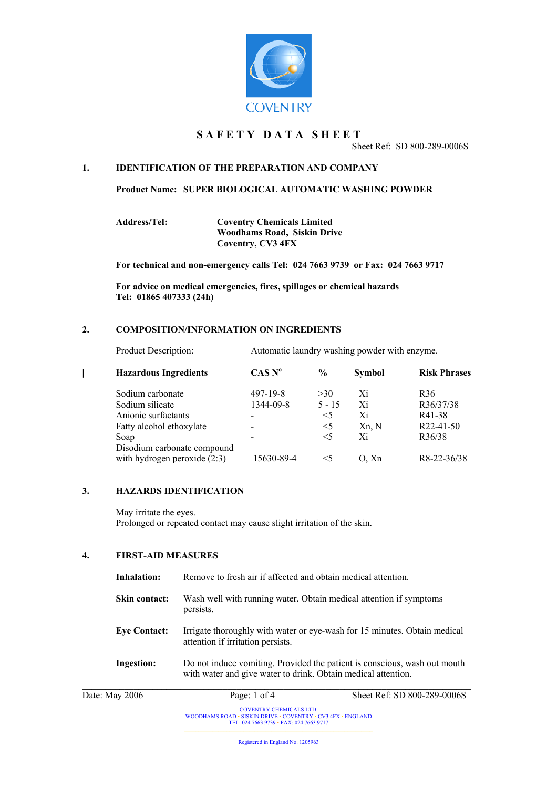

# **S A F E T Y D A T A S H E E T**

Sheet Ref: SD 800-289-0006S

# **1. IDENTIFICATION OF THE PREPARATION AND COMPANY**

**Product Name: SUPER BIOLOGICAL AUTOMATIC WASHING POWDER** 

**Address/Tel: Coventry Chemicals Limited Woodhams Road, Siskin Drive Coventry, CV3 4FX**

**For technical and non-emergency calls Tel: 024 7663 9739 or Fax: 024 7663 9717**

**For advice on medical emergencies, fires, spillages or chemical hazards Tel: 01865 407333 (24h)**

# **2. COMPOSITION/INFORMATION ON INGREDIENTS**

Product Description: Automatic laundry washing powder with enzyme.

| <b>Hazardous Ingredients</b>                                  | CAS N <sup>o</sup>           | $\frac{6}{9}$ | <b>Symbol</b> | <b>Risk Phrases</b>    |
|---------------------------------------------------------------|------------------------------|---------------|---------------|------------------------|
| Sodium carbonate                                              | $497 - 19 - 8$               | >30           | Xi            | R <sub>36</sub>        |
| Sodium silicate                                               | 1344-09-8                    | $5 - 15$      | Xi            | R36/37/38              |
| Anionic surfactants                                           | $\overline{\phantom{0}}$     | $\leq 5$      | Xi            | R41-38                 |
| Fatty alcohol ethoxylate                                      | $\overline{\phantom{a}}$     | $\leq$ 5      | Xn, N         | R <sub>22</sub> -41-50 |
| Soap                                                          | $\qquad \qquad \blacksquare$ | $\leq$ 5      | Xi            | R36/38                 |
| Disodium carbonate compound<br>with hydrogen peroxide $(2:3)$ | 15630-89-4                   | $\leq 5$      | O, Xn         | R8-22-36/38            |

## **3. HAZARDS IDENTIFICATION**

May irritate the eyes. Prolonged or repeated contact may cause slight irritation of the skin.

# **4. FIRST-AID MEASURES**

| Inhalation:          | Remove to fresh air if affected and obtain medical attention.<br>Wash well with running water. Obtain medical attention if symptoms<br>persists. |                             |  |
|----------------------|--------------------------------------------------------------------------------------------------------------------------------------------------|-----------------------------|--|
| <b>Skin contact:</b> |                                                                                                                                                  |                             |  |
| <b>Eye Contact:</b>  | Irrigate thoroughly with water or eye-wash for 15 minutes. Obtain medical<br>attention if irritation persists.                                   |                             |  |
| <b>Ingestion:</b>    | Do not induce vomiting. Provided the patient is conscious, wash out mouth<br>with water and give water to drink. Obtain medical attention.       |                             |  |
| Date: May 2006       | Page: $1$ of $4$                                                                                                                                 | Sheet Ref: SD 800-289-0006S |  |

Registered in England No. 1205963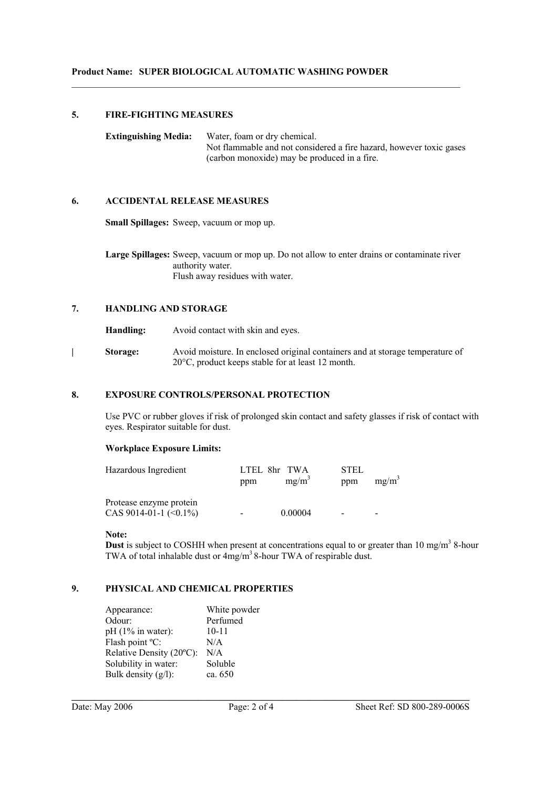## **5. FIRE-FIGHTING MEASURES**

**Extinguishing Media:** Water, foam or dry chemical. Not flammable and not considered a fire hazard, however toxic gases (carbon monoxide) may be produced in a fire.

 $\mathcal{L}_\text{max}$  , and the contribution of the contribution of the contribution of the contribution of the contribution of the contribution of the contribution of the contribution of the contribution of the contribution of t

# **6. ACCIDENTAL RELEASE MEASURES**

**Small Spillages:** Sweep, vacuum or mop up.

**Large Spillages:** Sweep, vacuum or mop up. Do not allow to enter drains or contaminate river authority water. Flush away residues with water.

# **7. HANDLING AND STORAGE**

**Handling:** Avoid contact with skin and eyes.

**| Storage:** Avoid moisture. In enclosed original containers and at storage temperature of 20°C, product keeps stable for at least 12 month.

# **8. EXPOSURE CONTROLS/PERSONAL PROTECTION**

Use PVC or rubber gloves if risk of prolonged skin contact and safety glasses if risk of contact with eyes. Respirator suitable for dust.

## **Workplace Exposure Limits:**

| Hazardous Ingredient                                    | LTEL 8hr TWA<br>ppm | $mg/m^3$ | STEL<br>ppm | $mg/m^3$ |
|---------------------------------------------------------|---------------------|----------|-------------|----------|
| Protease enzyme protein<br>CAS 9014-01-1 $(\leq 0.1\%)$ |                     | 0.00004  |             | -        |

#### **Note:**

**Dust** is subject to COSHH when present at concentrations equal to or greater than 10 mg/m<sup>3</sup> 8-hour TWA of total inhalable dust or  $4mg/m^3$  8-hour TWA of respirable dust.

# **9. PHYSICAL AND CHEMICAL PROPERTIES**

| White powder |
|--------------|
| Perfumed     |
| $10 - 11$    |
| N/A          |
| N/A          |
| Soluble      |
| ca. 650      |
|              |

**\_\_\_\_\_\_\_\_\_\_\_\_\_\_\_\_\_\_\_\_\_\_\_\_\_\_\_\_\_\_\_\_\_\_\_\_\_\_\_\_\_\_\_\_\_\_\_\_\_\_\_\_\_\_\_\_\_\_\_\_\_\_\_\_\_\_\_\_\_\_\_\_\_\_\_\_\_\_\_\_\_\_\_\_\_**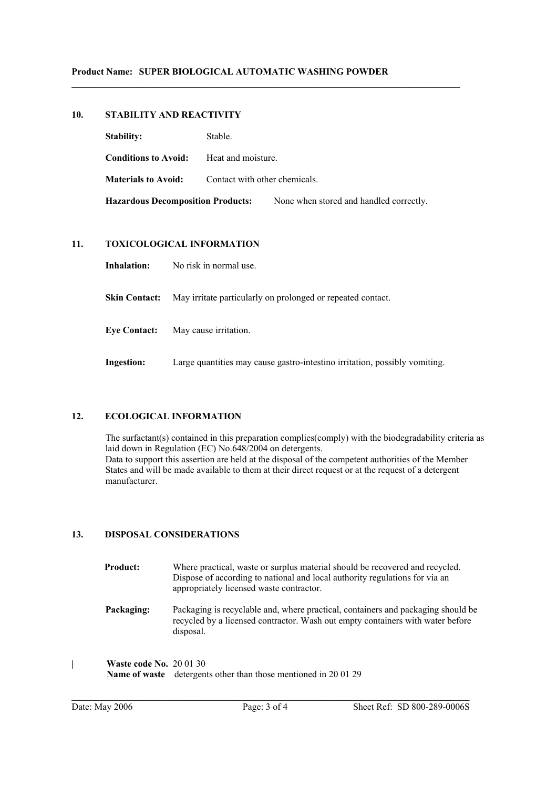# **10. STABILITY AND REACTIVITY**

| <b>Stability:</b>                        | Stable.                       |                                         |  |
|------------------------------------------|-------------------------------|-----------------------------------------|--|
| <b>Conditions to Avoid:</b>              | Heat and moisture.            |                                         |  |
| <b>Materials to Avoid:</b>               | Contact with other chemicals. |                                         |  |
| <b>Hazardous Decomposition Products:</b> |                               | None when stored and handled correctly. |  |

 $\mathcal{L}_\text{max}$  , and the contribution of the contribution of the contribution of the contribution of the contribution of the contribution of the contribution of the contribution of the contribution of the contribution of t

# **11. TOXICOLOGICAL INFORMATION**

**Inhalation:** No risk in normal use.

**Skin Contact:** May irritate particularly on prolonged or repeated contact.

**Eye Contact:** May cause irritation.

**Ingestion:** Large quantities may cause gastro-intestino irritation, possibly vomiting.

# **12. ECOLOGICAL INFORMATION**

The surfactant(s) contained in this preparation complies(comply) with the biodegradability criteria as laid down in Regulation (EC) No.648/2004 on detergents. Data to support this assertion are held at the disposal of the competent authorities of the Member States and will be made available to them at their direct request or at the request of a detergent manufacturer.

# **13. DISPOSAL CONSIDERATIONS**

| <b>Product:</b> | Where practical, waste or surplus material should be recovered and recycled.<br>Dispose of according to national and local authority regulations for via an<br>appropriately licensed waste contractor. |
|-----------------|---------------------------------------------------------------------------------------------------------------------------------------------------------------------------------------------------------|
| Packaging:      | Packaging is recyclable and, where practical, containers and packaging should be<br>recycled by a licensed contractor. Wash out empty containers with water before                                      |

**| Waste code No.** 20 01 30 **Name of waste** detergents other than those mentioned in 20 01 29

disposal.